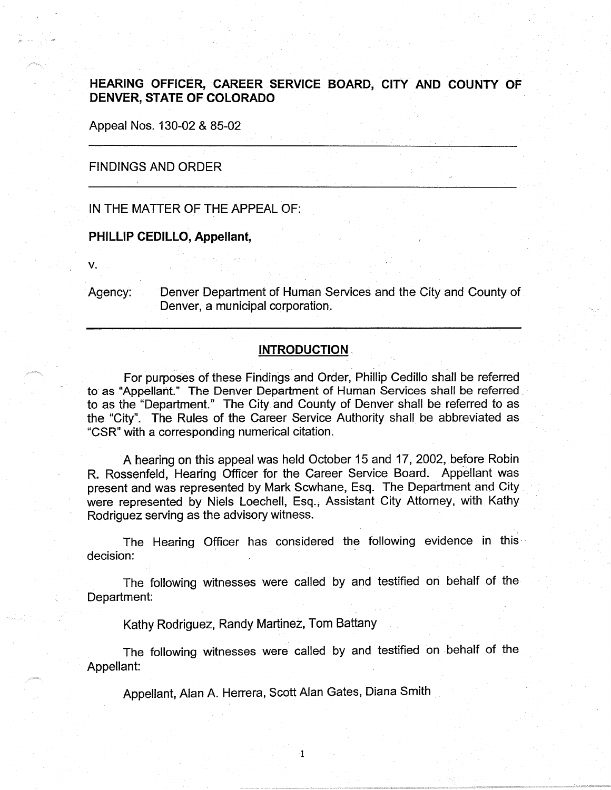# **HEARING OFFICER, CAREER SERVICE BOARD, CITY AND COUNTY OF DENVER, STATE OF COLORADO**

Appeal Nos. 130-02 & 85-02

## FINDINGS AND ORDER

IN THE MATTER OF THE APPEAL OF:

# **PHILLIP CEDILLO, Appellant,**

**V.** 

Agency: Denver Department of Human Services and the City and County of Denver, a municipal corporation.

## **INTRODUCTION** .

For purposes of these Findings and Order, Phillip Cedillo shall be referred to as "Appellant." The Denver Department of Human Services shall be referred. to as the "Department." The City and County of Denver shall be referred to as the "City". The Rules of the Career Service Authority shall be abbreviated as "CSR" with a corresponding numerical citation.

A hearing on this appeal was held October 15 and 17, 2002, before Robin R. Rossenfeld, Hearing Officer for the Career Service Board. Appellant was present and was represented by Mark Scwhane, Esq. The Department and City were represented by Niels Loechell, Esq., Assistant City Attorney, with Kathy Rodriguez serving as the advisory witness.

The Hearing Officer has considered the following evidence in this decision:

The following witnesses were called by and testified on behalf of the Department:

Kathy Rodriguez, Randy Martinez, Tom Battany

The following witnesses were called by and testified on behalf of the Appellant:

1

Appellant, Alan A. Herrera, Scott Alan Gates, Diana Smith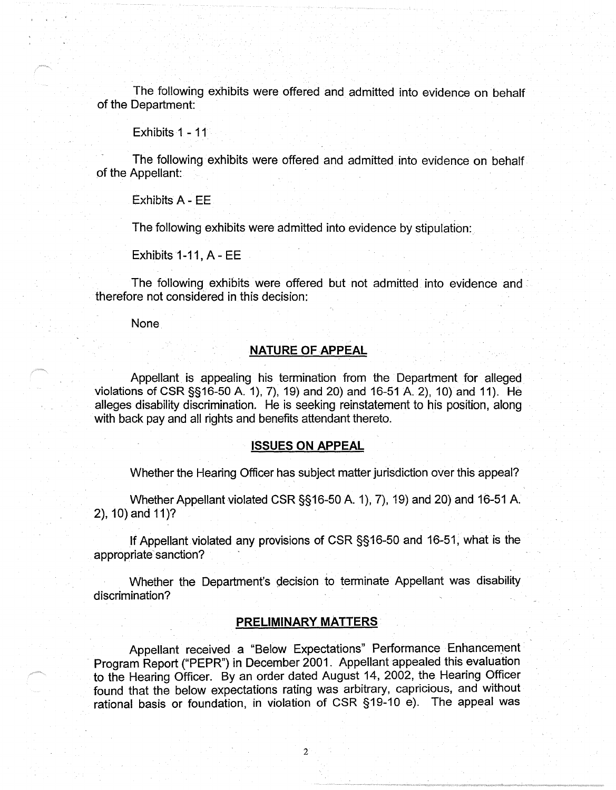The following exhibits were offered and admitted into evidence on behalf of the Department:

Exhibits 1 - 11

The following exhibits were offered and admitted into evidence on behalf of the Appellant:

Exhibits A - EE

The following exhibits were admitted into evidence by stipulation:

Exhibits 1-11, A- EE

The following exhibits were offered but not admitted into evidence and · therefore not considered in this decision:

None

# **NATURE OF APPEAL**

Appellant is appealing his termination from the Department for alleged violations of CSR §§16-50 A. 1), 7), 19) and 20) and 16-51 A. 2), 10) and 11). He alleges disability discrimination. He is seeking reinstatement to his position, along with back pay and all rights and benefits attendant thereto.

#### **ISSUES ON APPEAL**

Whether the Hearing Officer has subject matter jurisdiction over this appeal?

Whether Appellant violated CSR §§16-50 A. 1), 7), 19) and 20) and 16-51 A.  $2$ ), 10) and 11)?

If Appellant violated any provisions of CSR §§16-50 and 16-51, what is the appropriate sanction?

Whether the Department's decision to terminate Appellant was disability discrimination?

# **PRELIMINARY MATTERS**

Appellant received a "Below Expectations" Performance Enhancement Program Report ("PEPR") in December 2001. Appellant appealed this evaluation to the Hearing Officer. By an order dated August 14, 2002, the Hearing Officer found that the below expectations rating was arbitrary, capricious, and without rational basis or foundation, in violation of CSR §19-10 e). The appeal was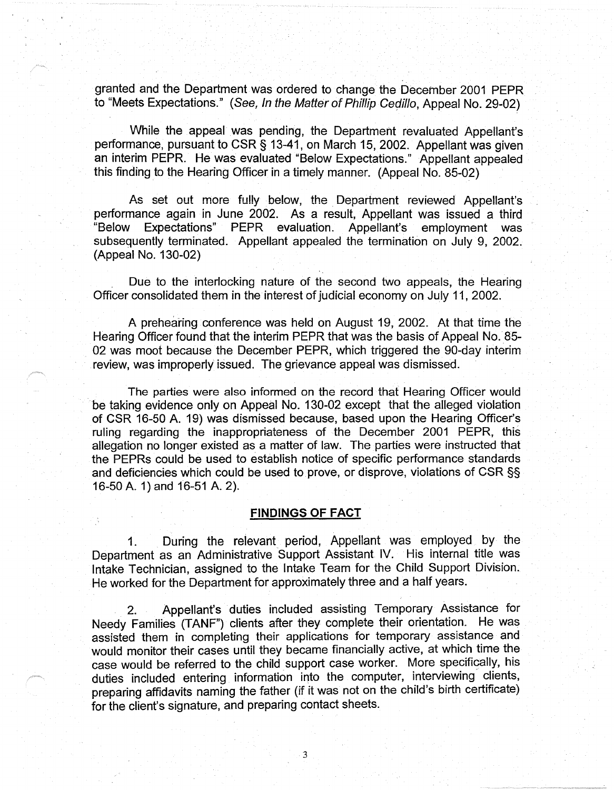granted and the Department.was ordered to change the December 2001 PEPR to "Meets Expectations." ( See, In the Matter of Phillip Cedillo, Appeal No. 29-02)

While the appeal was pending, the Department revaluated Appellant's performance, pursuant to CSR§ 13-41, on March 15, 2002. Appellant was given an interim PEPR. He was evaluated "Below Expectations." Appellant appealed this finding to the Hearing Officer in a timely manner. (Appeal No. 85-02)

As set out more fully below, the. Department reviewed Appellant's performance again in June 2002. As a result, Appellant was issued a third "Below Expectations" PEPR evaluation. Appellant's employment was subsequently terminated. Appellant appealed the termination on July 9, 2002. (Appeal No. 130-02)

Due to the interlocking nature of the second two appeals, the Hearing Officer consolidated them in the· interest of judicial economy on July 11, 2002.

A prehearing conference was held on August 19, 2002. At that time the Hearing Officer found that the interim PEPR that was the basis of Appeal No. 85- 02 was moot because the December PEPR, which triggered the 90-day interim review, was improperly issued. The grievance appeal was dismissed.

The parties were also informed on the record that Hearing Officer would be taking evidence only on Appeal No. 130-02 except that the alleged violation of CSR 16-50 A. 19) was dismissed because, based upon the Hearing Officer's ruling regarding the inappropriateness of the December 2001 PEPR, this allegation no longer existed as a matter of law. The parties were instructed that the PEPRs could be used to establish notice of specific performance standards and deficiencies which could be used to prove, or disprove, violations of CSR§§ 16-50 A. 1) and 16-51 A. 2).

#### **FINDINGS OF FACT**

1. During the relevant period, Appellant was employed by the Department as an Administrative Support Assistant IV. His internal title was Intake Technician, assigned to the Intake Team for the Child Support Division. He worked for the Department for approximately three and a half years.

2. Appellant's duties included assisting Temporary Assistance for Needy Families (TANF") clients after they complete their orientation. He was assisted them in completing their applications for temporary assistance and would monitor their cases until they became financially active, at which time the case would be referred to the child support case worker. More specifically, his duties included entering information into the computer, interviewing clients, preparing affidavits naming the father (if it was not on the child's birth certificate) for the client's signature, and preparing contact sheets.

3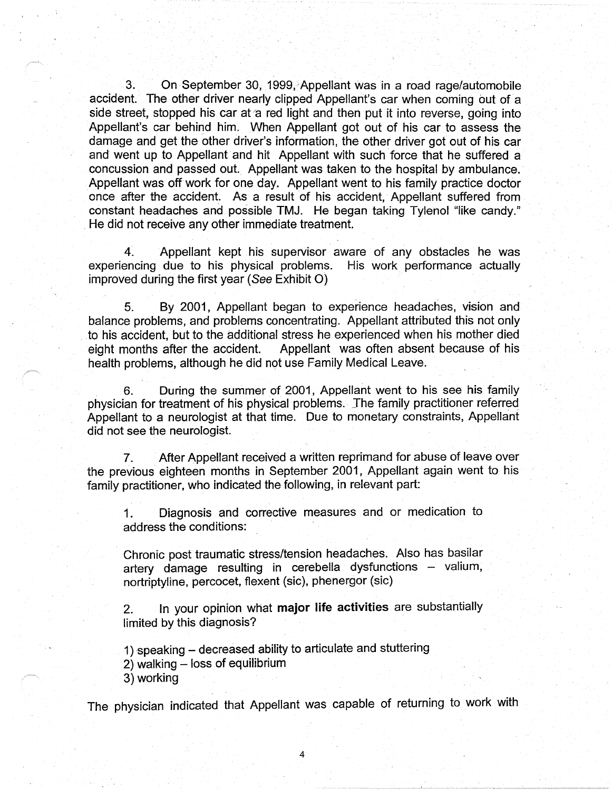3. On September 30, 1999, Appellant was in a road rage/automobile accident. The other driver nearly clipped Appellant's car when coming but of a side street, stopped his car at a red light and then put it into reverse, going into Appellant's car behind him. When Appellant got out of his car to assess the damage and get the other driver's information, the other driver got out of his car and went up to Appellant and hit Appellant with such force that he suffered a concussion and passed out. Appellant was taken to the hospital by ambulance. Appellant was off work for one day. Appellant went to his family practice doctor once after the accident. As a result of his accident, Appellant suffered from constant headaches and possible TMJ. He began taking Tylenol "like candy." . He did not receive any other immediate treatment.

4. Appellant kept his supervisor aware of any obstacles he was experiencing due to his physical problems. His work performance actually improved during the first year (See Exhibit 0)

5. By 2001, Appellant began to experience headaches, vision and balance problems, and problems concentrating. Appellant attributed this not only to his accident, but to the additional stress he experienced when his mother died eight months after the accident. Appellant was often absent because of his health problems, although he did not use Family Medical Leave.

6. During the summer of 2001, Appellant went to his see his family physician for treatment of his physical problems. The family practitioner referred Appellant to a neurologist at that time. Due to monetary constraints, Appellant did not see the neurologist.

7. After Appellant received a written reprimand for abuse of leave over the previous eighteen months in September 2001, Appellant again went to his family practitioner, who indicated the following, in relevant part:

1. Diagnosis and corrective measures and or medication to address the conditions:

Chronic post traumatic stress/tension headaches. Also has basilar artery damage resulting in cerebella dysfunctions - valium, nortriptyline, percocet, flexent (sic), phenergor (sic)

2. In your opinion what **major life activities** are substantially limited by this diagnosis?

1) speaking - decreased ability to articulate and stuttering

2) walking - loss of equilibrium

3) working

The physician indicated that Appellant was capable of returning to work with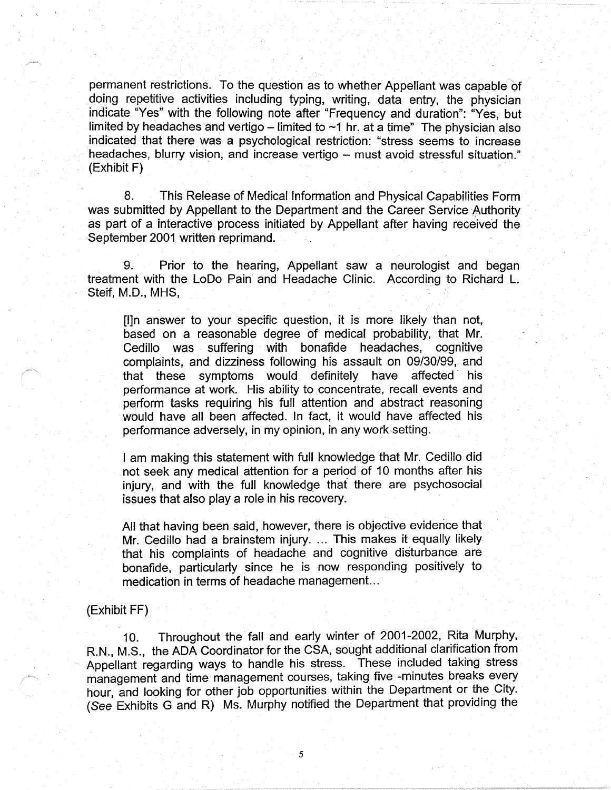permanent restrictions. To the question as to whether Appellant was capable of doing repetitive activities including typing, writing, data entry, the physician indicate "Yes" with the following note after "Frequency and duration": "Yes, but limited by headaches and vertigo – limited to  $\sim$ 1 hr. at a time" The physician also indicated that there was a psychological restriction: "stress seems to increase headaches, blurry vision, and increase vertigo - must avoid stressful situation." (Exhibit F) .

8. This Release of Medical Information and Physical Capabilities Form was submitted by Appellant to the Department and the Career Service Authority as part of a interactive process initiated by Appellant after having received the September 2001 written reprimand.

9. Prior to the hearing, Appellant saw a neurologist and began treatment with the LoDo Pain and Headache Clinic. According to Richard L. Steif, M.D., MHS,

[l]n answer to your specific question, it is more likely than not, based on a reasonable degree of medical probability, that Mr. Cedillo was suffering with bonafide headaches, cognitive complaints, and dizziness following his assault on 09/30/99, and that these symptoms would definitely have affected his performance at work. His ability to concentrate, recall events and perform tasks requiring his full attention and abstract reasoning would have all been affected. In fact, it would have affected his performance adversely, in my opinion, in any work setting.

I am making this statement with full knowledge that Mr. Cedillo did .not seek any medical attention for a period of 10 months after his injury, and with the full knowledge that there are psychosocial issues that also play a role in his recovery.

All that having been said, however, there is objective evidence that Mr. Cedillo had a brainstem injury. ... This makes it equally likely that his complaints of headache and cognitive disturbance are bonafide, particularly since he is now responding positively to medication in terms of headache management. ..

### (Exhibit FF)

10. Throughout the fall and early winter of 2001-2002, Rita Murphy, R.N., M.S., the ADA Coordinator for the CSA, sought additional clarification from Appellant regarding ways to handle his stress. These included taking stress management and time management courses, taking five -minutes breaks every hour, and looking for other job opportunities within the Department or the City. (See Exhibits G and R) Ms. Murphy notified the Department that providing the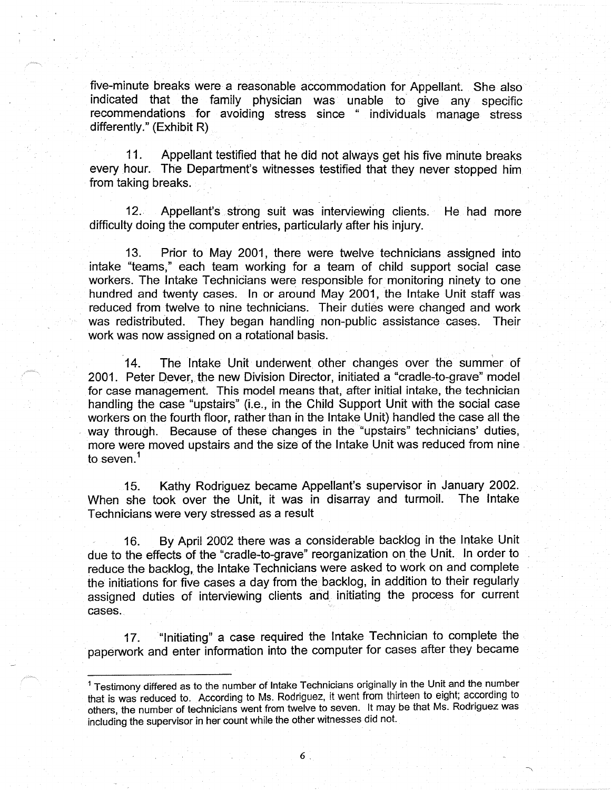five-minute breaks were a reasonable accommodation for Appellant. She also indicated that the family physician was unable to give any specific recommendations for avoiding stress since " individuals manage stress differently." (Exhibit R)

11. Appellant testified that he did not always get his five minute breaks every hour. The Department's witnesses testified that they never stopped him from taking breaks.

12.. Appellant's strong suit was interviewing clients. He had more difficulty doing the computer entries, particularly after his injury.

13. Prior to May 2001, there were twelve technicians assigned into intake "teams," each team working for a team of child support social case workers. The Intake Technicians were responsible for monitoring ninety to one. hundred and twenty cases. In or around May 2001, the Intake Unit staff was reduced from twelve to nine technicians. Their duties were changed and work was redistributed. They began handling non-public assistance cases. Their work was now assigned on a rotational basis.

14. The Intake Unit underwent other changes over the summer of 2001. Peter Dever, the new Division Director, initiated a "cradle-to-grave" model for case management. This model means that, after initial intake, the technician handling the case "upstairs" (i.e., in the Child Support Unit with the social case workers on the fourth floor, rather than in the Intake Unit) handled the case all the way through. Because of these changes in the "upstairs" technicians' duties, more were moved upstairs and the size of the Intake Unit was reduced from nine . to seven.<sup>1</sup>

15. Kathy Rodriguez became Appellant's supervisor in January 2002. When she took over the Unit, it was in disarray and turmoil. The Intake Technicians were very stressed as a result

16. By April 2002 there was a considerable backlog in the Intake Unit due to the effects of the "cradle-to-grave" reorganization on the Unit. In order to reduce the backlog, the Intake Technicians were asked to work on and complete the initiations for five cases a day from the.backlog, in addition to their regularly assigned duties of interviewing clients and initiating the process for current cases.

17. "Initiating" a case required the Intake Technician to complete the paperwork and enter information into the computer for cases after they became

<sup>1</sup>Testimony differed as to the number of Intake Technicians originally in the Unit and the number that is was reduced to. According to Ms. Rodriguez, it went from thirteen to eight; according to others, the number of technicians went from twelve to seven. It may be that Ms. Rodriguez was including the supervisor in her count while the other witnesses did not.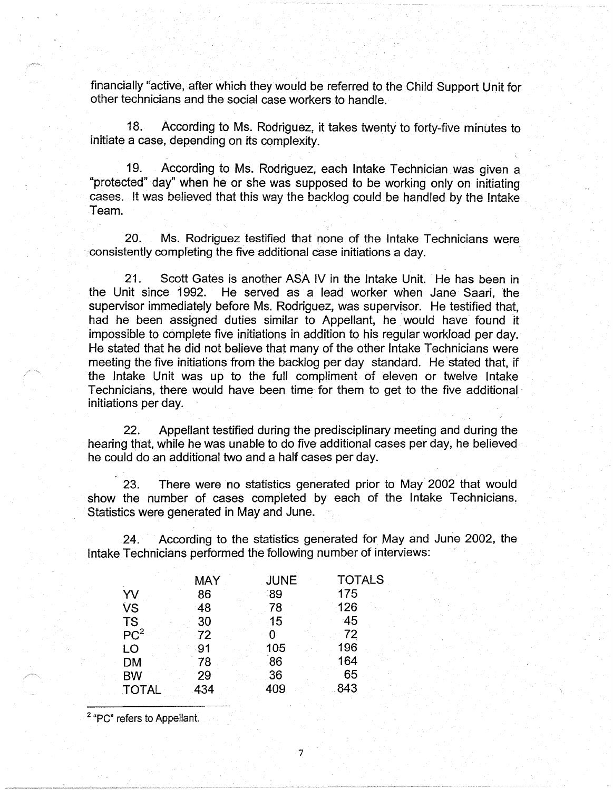financially "active, after which they would be referred to the Child Support Unit for other technicians and the social case workers to handle.

18. According to Ms. Rodriguez, it takes twenty to forty-five minutes to initiate a case, depending on its complexity.

19. According to Ms. Rodriguez, each Intake Technician was given a "protected" day" when he or she was supposed to be working only on initiating cases. It was believed that this way the backlog could be handled by the Intake Team.

20. Ms. Rodriguez testified that none of the Intake Technicians were consistently completing the five additional case initiations a day.

21. Scott Gates is another ASA IV in the Intake Unit. He has been in the Unit since 1992. He served as a lead worker when Jane Saari, the supervisor immediately before Ms. Rodriguez, was supervisor. He testified that, had he been assigned duties similar to Appellant, he would have found it impossible to complete five initiations in addition to his regular workload per day. He stated that he did not believe that many of the other Intake Technicians were meeting the five initiations from the backlog per day standard. He stated that, if the Intake Unit was up to the full compliment of eleven or twelve Intake Technicians, there would have been time for them to get to the five additional· initiations per day.

22. Appellant testified during the predisciplinary meeting and during the hearing that, while he was unable to do five additional cases per day, he believed he could do an additional two and a half cases per day.

23. There were no statistics generated prior *to* May 2002 that would show the number of cases completed by each of the Intake Technicians. Statistics were generated in May and June.

24. According to the statistics generated for May and June 2002, the Intake Technicians performed the following number of interviews:

7

|                 | <b>MAY</b> | <b>JUNE</b> | <b>TOTALS</b> |
|-----------------|------------|-------------|---------------|
| YV              | 86         | 89          | 175           |
| <b>VS</b>       | 48         | 78          | 126           |
| <b>TS</b>       | 30         | 15          | $-45$         |
| PC <sup>2</sup> | 72         |             | 72            |
| LO              | 91         | 105         | 196           |
| <b>DM</b>       | 78         | 86          | 164           |
| <b>BW</b>       | 29         | 36          | 65            |
| <b>TOTAL</b>    | 434        | 409         | 843           |

2 "PC" refers to Appellant.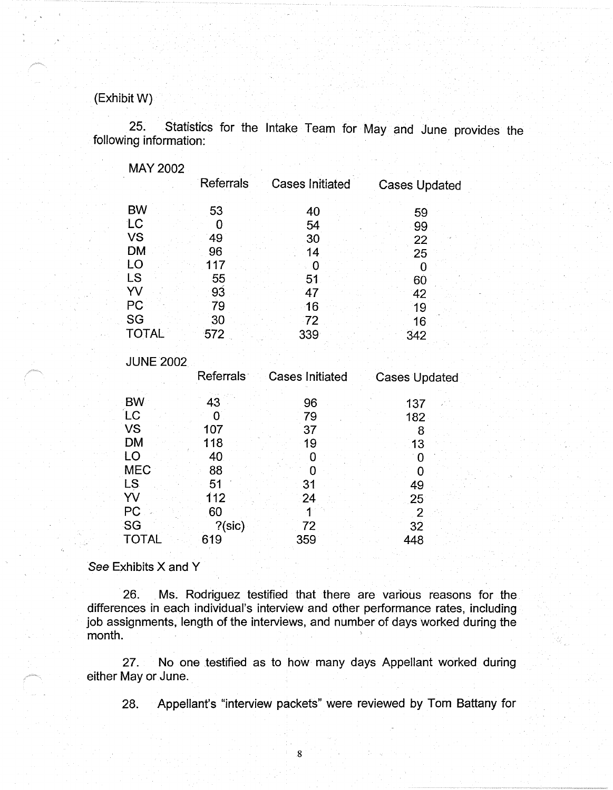# (ExhibitW)

25. Statistics for the Intake Team for May and June provides the following information:

| MAY 2002     |                  |                        |                      |
|--------------|------------------|------------------------|----------------------|
|              | <b>Referrals</b> | <b>Cases Initiated</b> | <b>Cases Updated</b> |
| <b>BW</b>    | 53               | 40                     | 59                   |
| LC           |                  | 54                     | 99                   |
| <b>VS</b>    | 49               | 30                     | 22                   |
| <b>DM</b>    | 96               | 14                     | 25                   |
| LO           | 117              |                        |                      |
| LS           | 55               | 51                     | 60                   |
| YV           | 93               | 47                     | 42                   |
| PC           | 79               | 16                     | 19                   |
| SG           | 30               | 72                     | 16                   |
| <b>TOTAL</b> | 572              | 339                    | 342                  |

**JUNE 2002** 

BW LC vs DM LO MEC LS YV P<sub>C</sub> Referrals· 43 0 107 118 40 88 51 112 60 Cases Initiated 96 79 37 19 0 0 31 24 1 Cases Updated 137 182 8 13 0  $\Omega$ 49 25 2

?(sic)

619

See Exhibits X and Y

SG TOTAL

26. Ms. Rodriguez testified that there are various reasons for the differences in each individual's interview and other performance rates, including job assignments, length of the interviews, and number of days worked during the month.

72 359

32 448

27. No one testified as to how many days Appellant worked during either May or June.

8

28. Appellant's "interview packets" were reviewed by Tom Battany for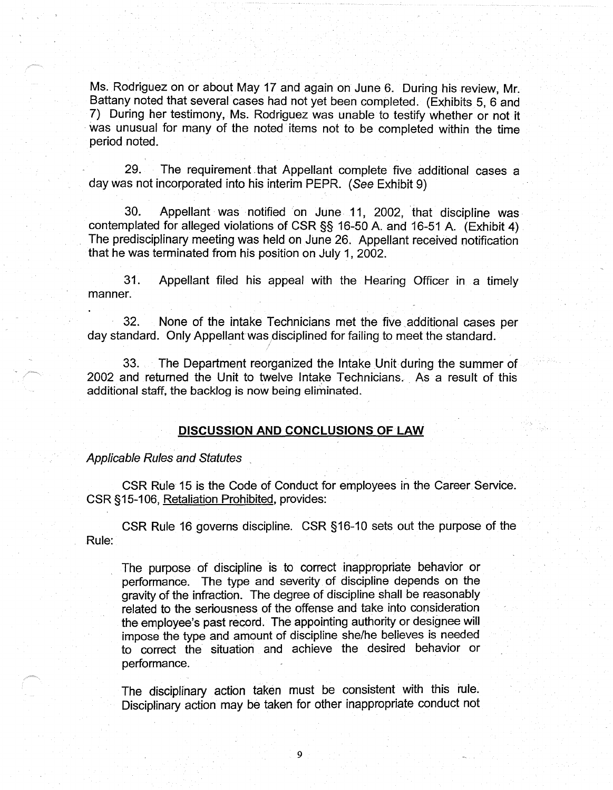Ms. Rodriguez on or about May 17 and again on June 6. During his review, Mr. Battany noted that several cases had not yet been completed. (Exhibits 5, 6 and 7) During her testimony, Ms. Rodriguez was unable to testify whether or not it was unusual for many of the noted items not to be completed within the time period noted.

29. The requirement. that Appellant complete five additional cases a day was not incorporated into his interim PEPR. (See Exhibit 9)

30. Appellant was notified on June 11, 2002, that discipline was contemplated for alleged violations of CSR §§ 16-50 A. and 16-51 A. (Exhibit 4) The predisciplinary meeting was held on June 26. Appellant received notification that he was terminated from his position on July 1, 2002.

31. Appellant filed his appeal with the Hearing Officer in a timely manner.

32. None of the intake Technicians met the five \_additional cases per day standard. Only Appellant was disciplined for failing to meet the standard.

33. The Department reorganized the Intake Unit during the summer of 2002 and returned the Unit to twelve Intake Technicians. As a result of this additional staff, the backlog is now being eliminated.

#### **DISCUSSION AND CONCLUSIONS OF LAW**

Applicable Rules and Statutes

CSR Rule 15 is the Code of Conduct for employees in the Career.Service. CSR § 15-106, Retaliation Prohibited, provides:

Rule: CSR Rule 16 governs discipline. CSR §16-10 sets out the purpose of the

The purpose of discipline is to correct inappropriate behavior or performance. The type and severity of discipline depends on the gravity of the infraction. The degree of discipline shall be reasonably related to the seriousness of the offense and take into consideration the employee's past record. The appointing authority or designee will impose the type and amount of discipline she/he believes is needed to correct the situation and achieve the desired behavior or performance.

The disciplinary action taken must be consistent with this rule. Disciplinary action may be taken for other inappropriate conduct not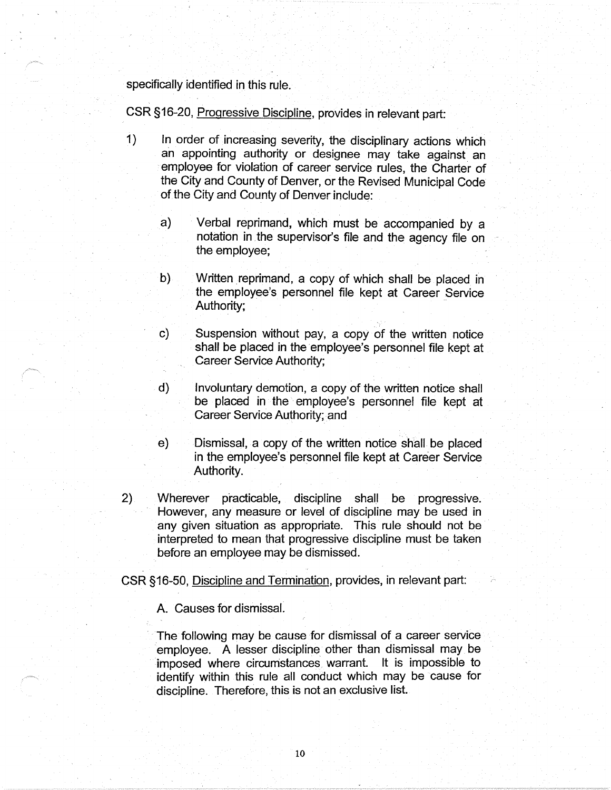specifically identified in this rule.

CSR §16-20, Progressive Discipline, provides in relevant part:

- 1) In order of increasing severity, the disciplinary actions which an appointing authority or designee may take against an employee for violation of career service rules, the Charter of the City and County of Denver, or the Revised Municipal Code of the City and County of Denver include:
	- a) Verbal reprimand, which must be accompanied by a notation in the supervisor's file and the agency file on the employee;
	- b) Written reprimand, a copy of which shall be placed in the employee's personnel file kept at Career Service Authority;
	- c) Suspension without pay, a copy of the written notice shall be placed in the employee's personnel file kept at Career Service Authority;
	- d) Involuntary demotion, a copy of the written notice shall be placed in the employee's personnel file kept at Career Service Authority; and
	- e) Dismissal, a copy of the written notice shall. be placed in the employee's personnel file kept at Career Service Authority.
- 2) Wherever practicable, discipline shall be progressive. However, any measure or level of discipline may be used in any given situation as appropriate. This rule should not be interpreted to mean that progressive discipline must be taken before an employee may be dismissed.

CSR §16-50, Discipline and Termination, provides, in relevant part:

A. Causes for dismissal.

The following may be cause for dismissal of a career service employee. A lesser discipline other than dismissal may be imposed where circumstances warrant. It is impossible to identify within this rule all conduct which may be cause for discipline. Therefore, this is not an exclusive list.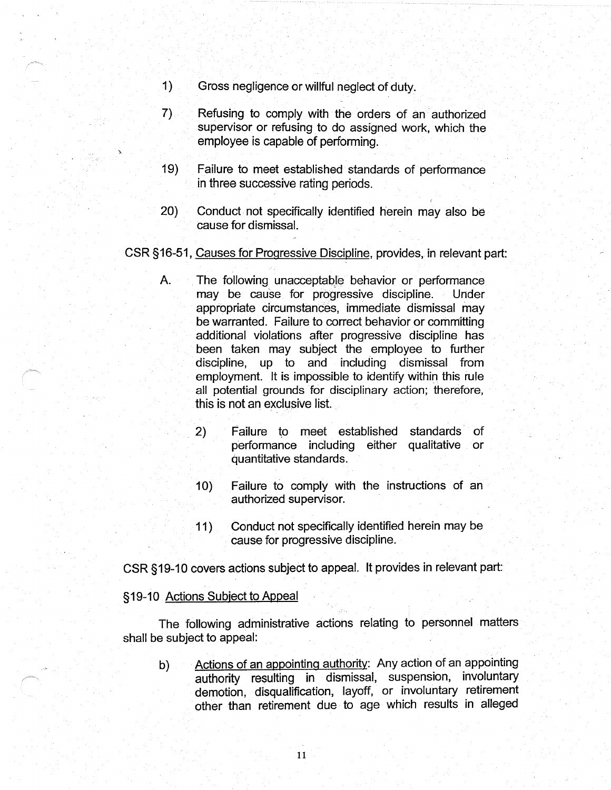- 1) Gross negligence or willful neglect of duty.
- 7) Refusing to comply with the orders of an authorized supervisor or refusing to do assigned work, which the employee is capable of performing.
- 19) Failure to meet established standards of performance in three successive rating periods.
- 20) Conduct not specifically identified herein may also be cause for dismissal.

## CSR § 16-51, Causes for Progressive Discipline, provides, in relevant part:

- A. The following unacceptable behavior or performance may be cause for progressive discipline. Under appropriate circumstances, immediate dismissal may be warranted. Failure to correct behavior or committing additional violations after progressive discipline has been taken may subject the employee to further discipline, up to and including dismissal from employment. It is impossible to identify within this rule all potential grounds for disciplinary action; therefore, this is not an exclusive list.
	- 2) Failure to meet established standards of performance including either qualitative or quantitative standards.
	- 10) Failure to comply with the instructions of an authorized supervisor.
	- 11) Conduct not specifically identified herein may be cause for progressive discipline.

CSR §19-10 covers actions subject to appeal. It provides in relevant part:

#### § 19-10 Actions Subject to Appeal

The following administrative actions relating to personnel matters shall be subject to appeal:

b) Actions of an appointing authority: Any action of an appointing authority resulting in dismissal, suspension, involuntary demotion, disqualification, layoff, or involuntary retirement other than retirement due to age which results in alleged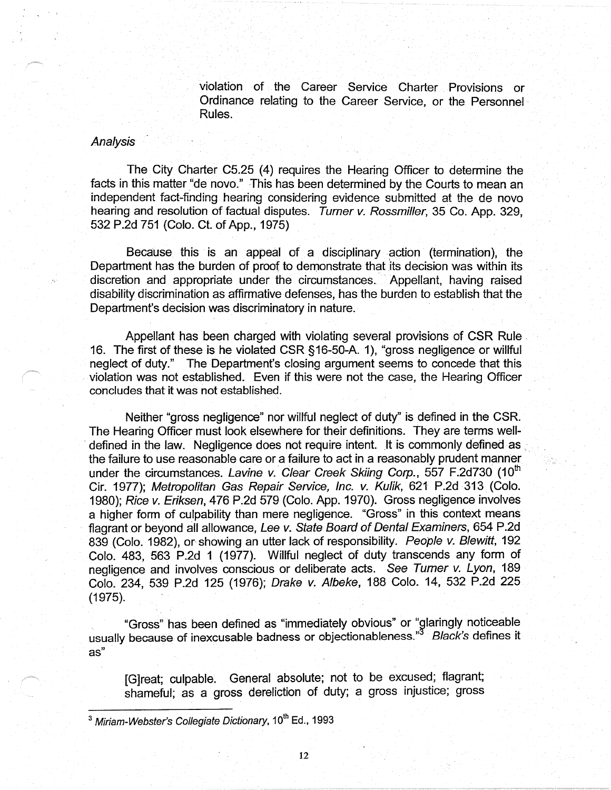violation of the Career Service Charter Provisions or Ordinance relating to the Career Service, or the Personnel Rules.

#### Analysis

The City Charter C5.25 (4) requires the Hearing Officer to determine the facts in this matter "de novo." This has been determined by the Courts to mean an independent fact-finding hearing considering evidence submitted at the de nova hearing and resolution of factual disputes. Turner v. Rossmiller, 35 Co. App. 329, 532 P.2d 751 (Colo. Ct. of App., 1975)

Because this is an appeal of a disciplinary action (termination), the Department has the burden of proof to demonstrate that its decision was within its discretion and appropriate under the circumstances. Appellant, having raised disability discrimination as affirmative defenses, has the burden to establish that the Department's decision was discriminatory in nature.

Appellant has been charged with violating several provisions of CSR Rule . 16. The first of these is he violated CSR §16-50-A. 1), "gross negligence or willful neglect of duty." The Department's closing argument seems to concede that this violation was not established. Even if this were not the case, the Hearing Officer concludes that it was not established.

Neither "gross negligence" nor willful neglect of duty" is defined in the CSR. The Hearing Officer must look elsewhere for their definitions. They are terms well defined in the law. Negligence does not require intent. It is commonly defined as. the failure to use reasonable care or a failure to act in a reasonably prudent manner under the circumstances. Lavine v. Clear Creek Skiing Corp., 557 F.2d730 (10<sup>th</sup> Cir. 1977); Metropolitan Gas Repair Service, Inc. v. Kulik, 621 P.2d 313 (Colo. 1980); Rice v. Eriksen, 476 P.2d 579 (Colo. App. 1970). Gross negligence involves a higher form of culpability than mere negligence. "Gross" in this context means flagrant or beyond all allowance, Lee v. State Board of Dental Examiners, 654 P.2d 839 (Colo. 1982), or showing an utter lack of responsibility. People v. Blewitt, 192 Colo. 483, 563 P.2d 1 (1977). Willful neglect of duty transcends any form of negligence and involves conscious or deliberate acts. See Turner v. Lyon, 189 Colo. 234, 539 P.2d 125 (1976); Drake v. Albeke, 188 Colo. 14, 532 P.2d 225  $(1975)$ .

"Gross" has been defined as "immediately obvious" or "glaringly noticeable usually because of inexcusable badness or objectionableness."3 Black's defines it as"

[G]reat; culpable. General absolute; not to be excused; flagrant; shameful; as a gross dereliction of duty; a gross injustice; gross

 $3$  Miriam-Webster's Collegiate Dictionary, 10<sup>th</sup> Ed., 1993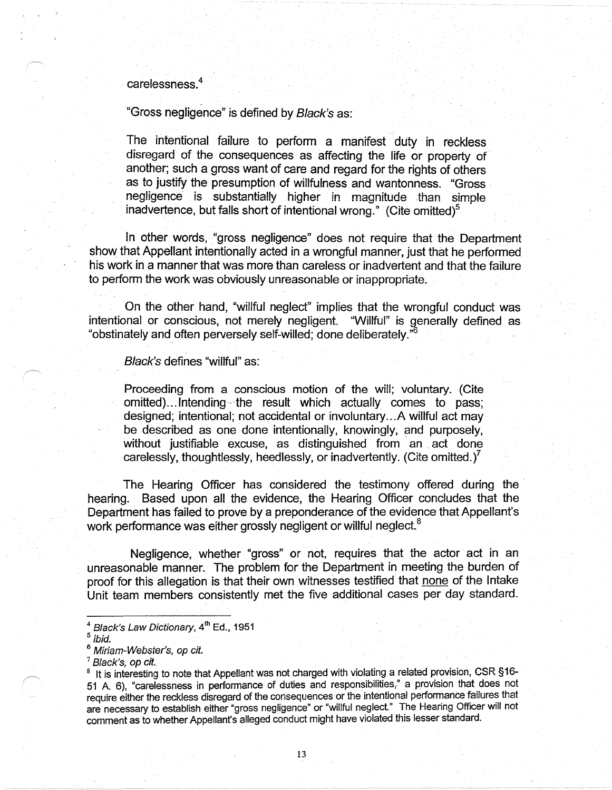carelessness.<sup>4</sup>

"Gross negligence" is defined by Black's as:

The intentional failure to perform a manifest duty in reckless disregard of the consequences as affecting the life or property of another; such a gross want of care and regard for the rights of others as to justify the presumption of willfulness and wantonness. "Gross negligence is substantially higher in magnitude than simple inadvertence, but falls short of intentional wrong." (Cite omitted)<sup>5</sup>

In other words, "gross negligence" does not require that the Department show that Appellant intentionally acted in a wrongful manner, just that he performed his work in a manner that was more than careless or inadvertent and that the failure to perform the work was obviously unreasonable or inappropriate.

On the other hand, "willful neglect" implies that the wrongful conduct was intentional or conscious, not merely negligent. "Willful" is generally defined as "obstinately and often perversely self-willed; done deliberately."

Black's defines "willful" as:

Proceeding from a conscious motion of the will; voluntary. (Cite omitted)...Intending-the result which actually comes to pass; designed; intentional; not accidental or involuntary ... A willful act may be described as one done intentionally, knowingly, and purposely, without justifiable excuse, as distinguished from an act done carelessly, thoughtlessly, heedlessly, or inadvertently. (Cite omitted.)<sup>7</sup>

The Hearing Officer has considered the testimony offered during the hearing. Based upon all the evidence, the Hearing Officer concludes that the Department has failed to prove by a preponderance of the evidence that Appellant's work performance was either grossly negligent or willful neglect.<sup>8</sup>

Negligence, whether "gross" or not, requires that the actor act in an unreasonable manner. The problem for the Department in meeting the burden of proof for this allegation is that their own witnesses testified that none of the Intake Unit team members consistently met the five additional cases per day standard.

 $^4$  Black's Law Dictionary,  $4^{\text{th}}$  Ed., 1951

ibid.

<sup>&</sup>lt;sup>6</sup> Miriam-Webster's, op cit.

Black's, op cit.

<sup>&</sup>lt;sup>8</sup> It is interesting to note that Appellant was not charged with violating a related provision, CSR §16-51 A. 6), "carelessness in performance of duties and responsibilities," a provision that does not require either the reckless disregard of the consequences or the intentional performance failures that are necessary to establish either "gross negligence" or "willful neglect." The Hearing Officer will not comment as to whether Appellant's alleged conduct might have violated this lesser standard.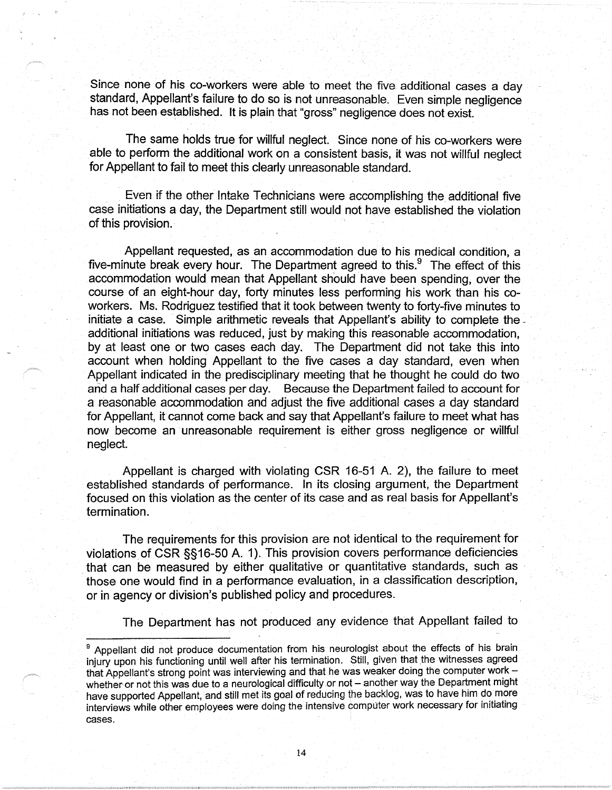Since none of his co-workers were able to meet the five additional cases a day standard, Appellant's failure to do so is not unreasonable. Even simple negligence has not been established. It is plain that "gross" negligence does not exist.

The same holds true for willful neglect. Since none of his co-workers were able to perform the additional work on a consistent basis, it was not willful neglect for Appellant to fail to meet this clearly unreasonable standard.

. Even if the other Intake Technicians were accomplishing the additional five case initiations a day, the Department still would not have established the violation of this provision.

Appellant requested, as an accommodation due to his medical condition, a five-minute break every hour. The Department agreed to this. $9$  The effect of this accommodation would mean that Appellant should have been spending, over the course of an eight-hour day, forty minutes less performing his work than his coworkers. Ms. Rodriguez testified that it took between twenty to forty-five minutes to initiate a case. Simple arithmetic reveals that Appellant's ability to complete the additional initiations was reduced, just by making this reasonable accommodation, by at least one or two cases each day. The Department did not take this into account when holding Appellant to the five cases a day standard, even when Appellant indicated in the predisciplinary meeting that he thought he could do two and a half additional cases per day. Because the Department failed to account for a reasonable accommodation and adjust the five additional cases a day standard for Appellant, it cannot come back and say that Appellant's failure to meet what has now become an unreasonable requirement is either gross negligence or willful neglect.

Appellant is charged with violating CSR 16-51 A. 2), the failure to meet established standards of performance. In its closing argument, the Department focused on this violation as the center of its case and as real basis for Appellant's termination.

The requirements for this provision are not identical to the requirement for violations of CSR §§16-50 A. 1). This provision covers performance deficiencies that can be measured by either qualitative or quantitative standards, such as those one would find in a performance evaluation, in a classification description, or in agency or division's published policy and procedures.

The Department has not produced any evidence that Appellant failed to

Appellant did not produce documentation from his neurologist about the effects of his brain injury upon his functioning until well after his termination. Still, given that the witnesses agreed that Appellant's strong point was interviewing and that he was weaker doing the computer work  $$ whether or not this was due to a neurological difficulty or not - another way the Department might have supported Appellant, and still met its goal of reducing the backlog, was to have him do more interviews while other employees were doing the intensive computer work necessary for initiating cases.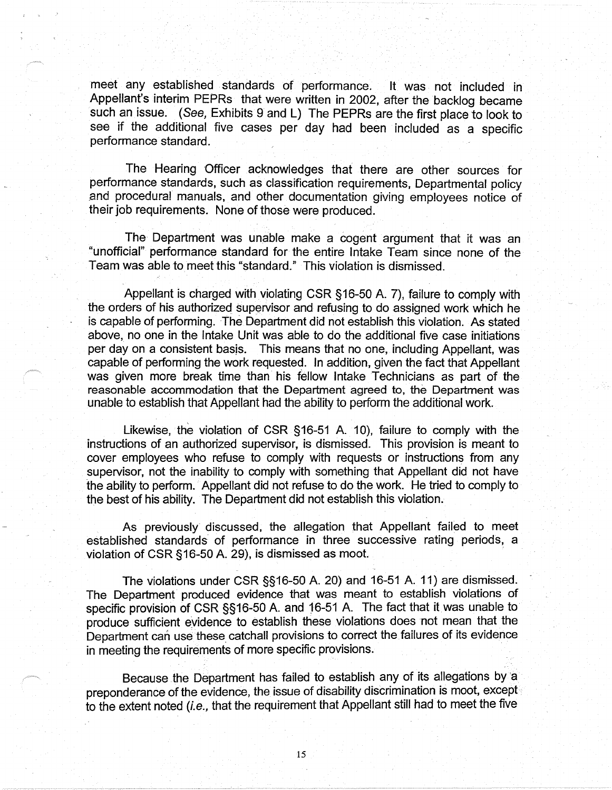meet any established standards of performance. It was not included in Appellant's interim PEPRs that were written in 2002, after the backlog became such an issue. (See, Exhibits 9 and L) The PEPRs are the first place to look to see if the additional five cases per day had been included as a specific performance standard.

The Hearing Officer acknowledges that there are other sources for performance standards, such as classification requirements, Departmental policy .and procedural manuals, and other documentation giving employees notice of their job requirements. None of those were produced.

The Department was unable make a cogent argument that it was an "unofficial" performance standard for the entire Intake Team since none of the Team was able to meet this "standard." This violation is dismissed.

Appellant is charged with violating CSR §16-50 A. 7), failure to comply with the orders of his authorized supervisor and refusing to do assigned work which he is capable of performing. The Department did not establish this violation. As stated above, no one in the Intake Unit was able to do the additional five case initiations per day on a consistent basjs. This means that no one, including Appellant, was capable of performing the work requested. In addition, given the fact that Appellant was given more break time than his fellow Intake Technicians as part of the reasonable accommodation that the Department agreed to, the Department was unable to establish that Appellant had the ability to perform the additional work.

Likewise, the violation of CSR §16-51 A. 10), failure to comply with the instructions of an authorized supervisor, is dismissed. This provision is meant to cover employees who refuse to comply with requests or instructions from any supervisor, not the inability to comply with something that Appellant did not have the ability to perform. Appellant did not refuse to do the work. He tried to comply to the best of his ability. The Department did not establish this violation.

As previously discussed, the allegation that Appellant failed to meet established standards of performance in three successive rating periods, a violation of CSR §16-50 A. 29), is dismissed as moot.

The violations under CSR §§16-50 A. 20) and 16-51 A. 11) are dismissed. The Department produced evidence that was meant to establish violations of specific provision of CSR §§16-50 A. and 16-51 A. The fact that it was unable to produce sufficient eyidence to establish these violations does not mean that the Department can use these catchall provisions to correct the failures of its evidence in meeting the requirements of more specific provisions.

Because the Department has failed to establish any of its allegations by a preponderance of the evidence, the issue of disability discrimination is moot, except to the extent noted (i.e., that the requirement that Appellant still had to meet the five